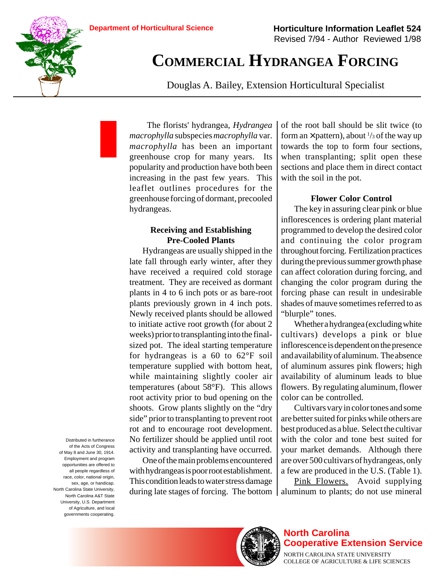

# **COMMERCIAL HYDRANGEA FORCING**

Douglas A. Bailey, Extension Horticultural Specialist

The florists' hydrangea, *Hydrangea macrophylla* subspecies *macrophylla* var. *macrophylla* has been an important greenhouse crop for many years. Its popularity and production have both been increasing in the past few years. This leaflet outlines procedures for the greenhouse forcing of dormant, precooled hydrangeas.

## **Receiving and Establishing Pre-Cooled Plants**

Hydrangeas are usually shipped in the late fall through early winter, after they have received a required cold storage treatment. They are received as dormant plants in 4 to 6 inch pots or as bare-root plants previously grown in 4 inch pots. Newly received plants should be allowed to initiate active root growth (for about 2 weeks) prior to transplanting into the finalsized pot. The ideal starting temperature for hydrangeas is a 60 to 62°F soil temperature supplied with bottom heat, while maintaining slightly cooler air temperatures (about 58°F). This allows root activity prior to bud opening on the shoots. Grow plants slightly on the "dry side" prior to transplanting to prevent root rot and to encourage root development. No fertilizer should be applied until root activity and transplanting have occurred.

One of the main problems encountered with hydrangeas is poor root establishment. This condition leads to water stress damage during late stages of forcing. The bottom of the root ball should be slit twice (to form an  $\times$  pattern), about  $\frac{1}{3}$  of the way up towards the top to form four sections, when transplanting; split open these sections and place them in direct contact with the soil in the pot.

# **Flower Color Control**

The key in assuring clear pink or blue inflorescences is ordering plant material programmed to develop the desired color and continuing the color program throughout forcing. Fertilization practices during the previous summer growth phase can affect coloration during forcing, and changing the color program during the forcing phase can result in undesirable shades of mauve sometimes referred to as "blurple" tones.

Whether a hydrangea (excluding white cultivars) develops a pink or blue inflorescence is dependent on the presence and availability of aluminum. The absence of aluminum assures pink flowers; high availability of aluminum leads to blue flowers. By regulating aluminum, flower color can be controlled.

Cultivars vary in color tones and some are better suited for pinks while others are best produced as a blue. Select the cultivar with the color and tone best suited for your market demands. Although there are over 500 cultivars of hydrangeas, only a few are produced in the U.S. (Table 1).

Pink Flowers. Avoid supplying aluminum to plants; do not use mineral

Distributed in furtherance of the Acts of Congress of May 8 and June 30, 1914. Employment and program opportunities are offered to all people regardless of race, color, national origin, sex, age, or handicap. North Carolina State University, North Carolina A&T State University, U.S. Department of Agriculture, and local governments cooperating.



## **North Carolina Cooperative Extension Service**

NORTH CAROLINA STATE UNIVERSITY COLLEGE OF AGRICULTURE & LIFE SCIENCES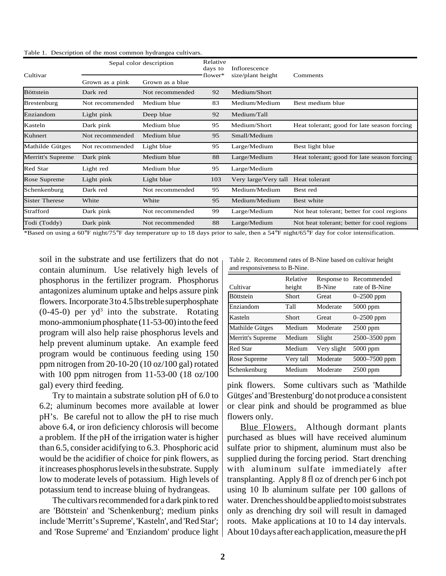|  | Table 1. Description of the most common hydrangea cultivars. |  |  |  |  |
|--|--------------------------------------------------------------|--|--|--|--|
|--|--------------------------------------------------------------|--|--|--|--|

| Cultivar              | Sepal color description |                 | Relative<br>days to | Inflorescence        |                                                                                                                             |
|-----------------------|-------------------------|-----------------|---------------------|----------------------|-----------------------------------------------------------------------------------------------------------------------------|
|                       | Grown as a pink         | Grown as a blue | flower*             | size/plant height    | Comments                                                                                                                    |
| <b>Böttstein</b>      | Dark red                | Not recommended | 92                  | Medium/Short         |                                                                                                                             |
| <b>Brestenburg</b>    | Not recommended         | Medium blue     | 83                  | Medium/Medium        | Best medium blue                                                                                                            |
| Enziandom             | Light pink              | Deep blue       | 92                  | Medium/Tall          |                                                                                                                             |
| Kasteln               | Dark pink               | Medium blue     | 95                  | Medium/Short         | Heat tolerant; good for late season forcing                                                                                 |
| Kuhnert               | Not recommended         | Medium blue     | 95                  | Small/Medium         |                                                                                                                             |
| Mathilde Gütges       | Not recommended         | Light blue      | 95                  | Large/Medium         | Best light blue                                                                                                             |
| Merritt's Supreme     | Dark pink               | Medium blue     | 88                  | Large/Medium         | Heat tolerant; good for late season forcing                                                                                 |
| Red Star              | Light red               | Medium blue     | 95                  | Large/Medium         |                                                                                                                             |
| Rose Supreme          | Light pink              | Light blue      | 103                 | Very large/Very tall | Heat tolerant                                                                                                               |
| Schenkenburg          | Dark red                | Not recommended | 95                  | Medium/Medium        | Best red                                                                                                                    |
| <b>Sister Therese</b> | White                   | White           | 95                  | Medium/Medium        | Best white                                                                                                                  |
| Strafford             | Dark pink               | Not recommended | 99                  | Large/Medium         | Not heat tolerant; better for cool regions                                                                                  |
| Todi (Toddy)          | Dark pink               | Not recommended | 88                  | Large/Medium         | Not heat tolerant; better for cool regions                                                                                  |
|                       |                         |                 |                     |                      | φητικά το πείος ο ΖΟΘΕ σίουλ/ΠΕΘΕ άτι λιποτροφικό του λουάλου σπίτολο του κάτο ο ΕΛΘΕ σίουλελ/ΖΕΘΕ άτι θα του προστήθηκε το |

Based on using a 60°F night/75°F day temperature up to 18 days prior to sale, then a 54°F night/65°F day for color intensification.

soil in the substrate and use fertilizers that do not contain aluminum. Use relatively high levels of phosphorus in the fertilizer program. Phosphorus antagonizes aluminum uptake and helps assure pink flowers. Incorporate 3 to 4.5 lbs treble superphosphate  $(0-45-0)$  per yd<sup>3</sup> into the substrate. Rotating mono-ammonium phosphate (11-53-00) into the feed program will also help raise phosphorus levels and help prevent aluminum uptake. An example feed program would be continuous feeding using 150 ppm nitrogen from 20-10-20 (10 oz/100 gal) rotated with 100 ppm nitrogen from 11-53-00 (18 oz/100 gal) every third feeding.

Try to maintain a substrate solution pH of 6.0 to 6.2; aluminum becomes more available at lower pH's. Be careful not to allow the pH to rise much above 6.4, or iron deficiency chlorosis will become a problem. If the pH of the irrigation water is higher than 6.5, consider acidifying to 6.3. Phosphoric acid would be the acidifier of choice for pink flowers, as it increases phosphorus levels in the substrate. Supply low to moderate levels of potassium. High levels of potassium tend to increase bluing of hydrangeas.

The cultivars recommended for a dark pink to red are 'Böttstein' and 'Schenkenburg'; medium pinks include 'Merritt's Supreme', 'Kasteln', and 'Red Star'; and 'Rose Supreme' and 'Enziandom' produce light

Table 2. Recommend rates of B-Nine based on cultivar height and responsiveness to B-Nine.

| Cultivar          | Relative<br>height | Response to<br><b>B-Nine</b> | Recommended<br>rate of B-Nine |
|-------------------|--------------------|------------------------------|-------------------------------|
| <b>Böttstein</b>  | Short              | Great                        | $0 - 2500$ ppm                |
| Enziandom         | Tall               | Moderate                     | 5000 ppm                      |
| Kasteln           | Short              | Great                        | $0 - 2500$ ppm                |
| Mathilde Gütges   | Medium             | Moderate                     | $2500$ ppm                    |
| Merritt's Supreme | Medium             | Slight                       | 2500–3500 ppm                 |
| <b>Red Star</b>   | Medium             | Very slight                  | 5000 ppm                      |
| Rose Supreme      | Very tall          | Moderate                     | 5000–7500 ppm                 |
| Schenkenburg      | Medium             | Moderate                     | 2500 ppm                      |

pink flowers. Some cultivars such as 'Mathilde Gütges' and 'Brestenburg' do not produce a consistent or clear pink and should be programmed as blue flowers only.

Blue Flowers. Although dormant plants purchased as blues will have received aluminum sulfate prior to shipment, aluminum must also be supplied during the forcing period. Start drenching with aluminum sulfate immediately after transplanting. Apply 8 fl oz of drench per 6 inch pot using 10 lb aluminum sulfate per 100 gallons of water. Drenches should be applied to moist substrates only as drenching dry soil will result in damaged roots. Make applications at 10 to 14 day intervals. About 10 days after each application, measure the pH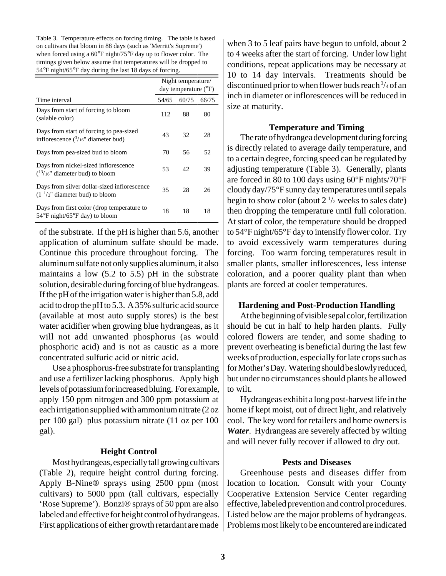Table 3. Temperature effects on forcing timing. The table is based on cultivars that bloom in 88 days (such as 'Merritt's Supreme') when forced using a 60°F night/75°F day up to flower color. The timings given below assume that temperatures will be dropped to 54°F night/65°F day during the last 18 days of forcing.

|                                                                                                  | Night temperature/<br>day temperature $(^{\circ}F)$ |       |       |
|--------------------------------------------------------------------------------------------------|-----------------------------------------------------|-------|-------|
| Time interval                                                                                    | 54/65                                               | 60/75 | 66/75 |
| Days from start of forcing to bloom<br>(salable color)                                           | 112                                                 | 88    | 80    |
| Days from start of forcing to pea-sized<br>inflorescence $\binom{3}{16}$ diameter bud)           | 43                                                  | 32    | 28    |
| Days from pea-sized bud to bloom                                                                 | 70                                                  | 56    | 52    |
| Days from nickel-sized inflorescence<br>$(13/16)$ " diameter bud) to bloom                       | 53                                                  | 42    | 39    |
| Days from silver dollar-sized inflorescence<br>$(11/2n)$ diameter bud) to bloom                  | 35                                                  | 28    | 26    |
| Days from first color (drop temperature to<br>$54^{\circ}$ F night/65 $^{\circ}$ F day) to bloom | 18                                                  | 18    | 18    |

of the substrate. If the pH is higher than 5.6, another application of aluminum sulfate should be made. Continue this procedure throughout forcing. The aluminum sulfate not only supplies aluminum, it also maintains a low (5.2 to 5.5) pH in the substrate solution, desirable during forcing of blue hydrangeas. If the pH of the irrigation water is higher than 5.8, add acid to drop the pH to 5.3. A 35% sulfuric acid source (available at most auto supply stores) is the best water acidifier when growing blue hydrangeas, as it will not add unwanted phosphorus (as would phosphoric acid) and is not as caustic as a more concentrated sulfuric acid or nitric acid.

Use a phosphorus-free substrate for transplanting and use a fertilizer lacking phosphorus. Apply high levels of potassium for increased bluing. For example, apply 150 ppm nitrogen and 300 ppm potassium at each irrigation supplied with ammonium nitrate (2 oz per 100 gal) plus potassium nitrate (11 oz per 100 gal).

#### **Height Control**

Most hydrangeas, especially tall growing cultivars (Table 2), require height control during forcing. Apply B-Nine® sprays using 2500 ppm (most cultivars) to 5000 ppm (tall cultivars, especially 'Rose Supreme'). Bonzi® sprays of 50 ppm are also labeled and effective for height control of hydrangeas. First applications of either growth retardant are made

when 3 to 5 leaf pairs have begun to unfold, about 2 to 4 weeks after the start of forcing. Under low light conditions, repeat applications may be necessary at 10 to 14 day intervals. Treatments should be discontinued prior to when flower buds reach 3 /4 of an inch in diameter or inflorescences will be reduced in size at maturity.

#### **Temperature and Timing**

The rate of hydrangea development during forcing is directly related to average daily temperature, and to a certain degree, forcing speed can be regulated by adjusting temperature (Table 3). Generally, plants are forced in 80 to 100 days using 60°F nights/70°F cloudy day/75°F sunny day temperatures until sepals begin to show color (about  $2\frac{1}{2}$  weeks to sales date) then dropping the temperature until full coloration. At start of color, the temperature should be dropped to 54°F night/65°F day to intensify flower color. Try to avoid excessively warm temperatures during forcing. Too warm forcing temperatures result in smaller plants, smaller inflorescences, less intense coloration, and a poorer quality plant than when plants are forced at cooler temperatures.

#### **Hardening and Post-Production Handling**

At the beginning of visible sepal color, fertilization should be cut in half to help harden plants. Fully colored flowers are tender, and some shading to prevent overheating is beneficial during the last few weeks of production, especially for late crops such as for Mother's Day. Watering should be slowly reduced, but under no circumstances should plants be allowed to wilt.

Hydrangeas exhibit a long post-harvest life in the home if kept moist, out of direct light, and relatively cool. The key word for retailers and home owners is *Water*. Hydrangeas are severely affected by wilting and will never fully recover if allowed to dry out.

#### **Pests and Diseases**

Greenhouse pests and diseases differ from location to location. Consult with your County Cooperative Extension Service Center regarding effective, labeled prevention and control procedures. Listed below are the major problems of hydrangeas. Problems most likely to be encountered are indicated